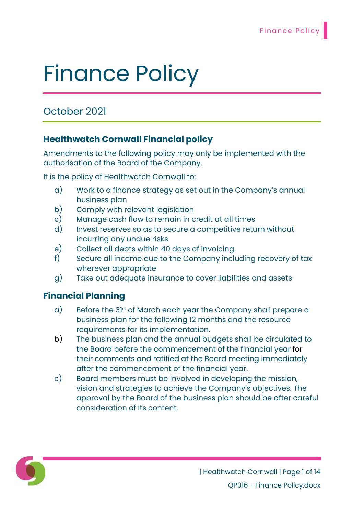# October 2021

# Healthwatch Cornwall Financial policy

Amendments to the following policy may only be implemented with the authorisation of the Board of the Company.

It is the policy of Healthwatch Cornwall to:

- a) Work to a finance strategy as set out in the Company's annual business plan
- b) Comply with relevant legislation
- c) Manage cash flow to remain in credit at all times
- d) Invest reserves so as to secure a competitive return without incurring any undue risks
- e) Collect all debts within 40 days of invoicing
- f) Secure all income due to the Company including recovery of tax wherever appropriate
- g) Take out adequate insurance to cover liabilities and assets

# Financial Planning

- a) Before the 31st of March each year the Company shall prepare a business plan for the following 12 months and the resource requirements for its implementation.
- b) The business plan and the annual budgets shall be circulated to the Board before the commencement of the financial year for their comments and ratified at the Board meeting immediately after the commencement of the financial year.
- c) Board members must be involved in developing the mission, vision and strategies to achieve the Company's objectives. The approval by the Board of the business plan should be after careful consideration of its content.

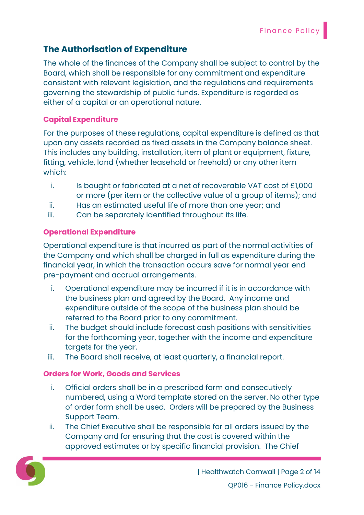# The Authorisation of Expenditure

The whole of the finances of the Company shall be subject to control by the Board, which shall be responsible for any commitment and expenditure consistent with relevant legislation, and the regulations and requirements governing the stewardship of public funds. Expenditure is regarded as either of a capital or an operational nature.

#### Capital Expenditure

For the purposes of these regulations, capital expenditure is defined as that upon any assets recorded as fixed assets in the Company balance sheet. This includes any building, installation, item of plant or equipment, fixture, fitting, vehicle, land (whether leasehold or freehold) or any other item which:

- i. Is bought or fabricated at a net of recoverable VAT cost of £1,000 or more (per item or the collective value of a group of items); and
- ii. Has an estimated useful life of more than one year; and
- iii. Can be separately identified throughout its life.

## Operational Expenditure

Operational expenditure is that incurred as part of the normal activities of the Company and which shall be charged in full as expenditure during the financial year, in which the transaction occurs save for normal year end pre-payment and accrual arrangements.

- i. Operational expenditure may be incurred if it is in accordance with the business plan and agreed by the Board. Any income and expenditure outside of the scope of the business plan should be referred to the Board prior to any commitment.
- ii. The budget should include forecast cash positions with sensitivities for the forthcoming year, together with the income and expenditure targets for the year.
- iii. The Board shall receive, at least quarterly, a financial report.

## Orders for Work, Goods and Services

- i. Official orders shall be in a prescribed form and consecutively numbered, using a Word template stored on the server. No other type of order form shall be used. Orders will be prepared by the Business Support Team.
- ii. The Chief Executive shall be responsible for all orders issued by the Company and for ensuring that the cost is covered within the approved estimates or by specific financial provision. The Chief

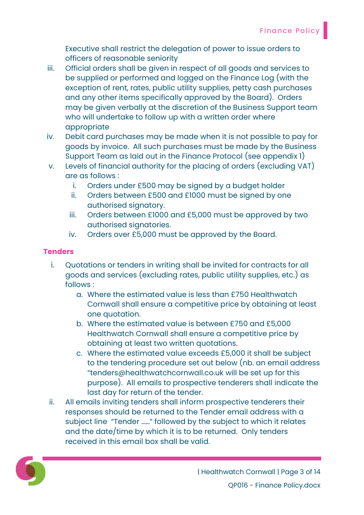Executive shall restrict the delegation of power to issue orders to officers of reasonable seniority

- iii. Official orders shall be given in respect of all goods and services to be supplied or performed and logged on the Finance Log (with the exception of rent, rates, public utility supplies, petty cash purchases and any other items specifically approved by the Board). Orders may be given verbally at the discretion of the Business Support team who will undertake to follow up with a written order where appropriate
- iv. Debit card purchases may be made when it is not possible to pay for goods by invoice. All such purchases must be made by the Business Support Team as laid out in the Finance Protocol (see appendix 1)
- v. Levels of financial authority for the placing of orders (excluding VAT) are as follows :
	- i. Orders under £500 may be signed by a budget holder
	- ii. Orders between £500 and £1000 must be signed by one authorised signatory.
	- iii. Orders between £1000 and £5,000 must be approved by two authorised signatories.
	- iv. Orders over £5,000 must be approved by the Board.

#### **Tenders**

- i. Quotations or tenders in writing shall be invited for contracts for all goods and services (excluding rates, public utility supplies, etc.) as follows :
	- a. Where the estimated value is less than £750 Healthwatch Cornwall shall ensure a competitive price by obtaining at least one quotation.
	- b. Where the estimated value is between £750 and £5,000 Healthwatch Cornwall shall ensure a competitive price by obtaining at least two written quotations.
	- c. Where the estimated value exceeds £5,000 it shall be subject to the tendering procedure set out below (nb. an email address "tenders@healthwatchcornwall.co.uk will be set up for this purpose). All emails to prospective tenderers shall indicate the last day for return of the tender.
- ii. All emails inviting tenders shall inform prospective tenderers their responses should be returned to the Tender email address with a subject line "Tender ……" followed by the subject to which it relates and the date/time by which it is to be returned. Only tenders received in this email box shall be valid.

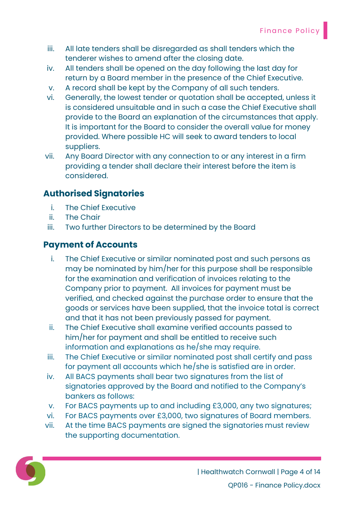- iii. All late tenders shall be disregarded as shall tenders which the tenderer wishes to amend after the closing date.
- iv. All tenders shall be opened on the day following the last day for return by a Board member in the presence of the Chief Executive.
- v. A record shall be kept by the Company of all such tenders.
- vi. Generally, the lowest tender or quotation shall be accepted, unless it is considered unsuitable and in such a case the Chief Executive shall provide to the Board an explanation of the circumstances that apply. It is important for the Board to consider the overall value for money provided. Where possible HC will seek to award tenders to local suppliers.
- vii. Any Board Director with any connection to or any interest in a firm providing a tender shall declare their interest before the item is considered.

# Authorised Signatories

- i. The Chief Executive
- ii. The Chair
- iii. Two further Directors to be determined by the Board

## Payment of Accounts

- i. The Chief Executive or similar nominated post and such persons as may be nominated by him/her for this purpose shall be responsible for the examination and verification of invoices relating to the Company prior to payment. All invoices for payment must be verified, and checked against the purchase order to ensure that the goods or services have been supplied, that the invoice total is correct and that it has not been previously passed for payment.
- ii. The Chief Executive shall examine verified accounts passed to him/her for payment and shall be entitled to receive such information and explanations as he/she may require.
- iii. The Chief Executive or similar nominated post shall certify and pass for payment all accounts which he/she is satisfied are in order.
- iv. All BACS payments shall bear two signatures from the list of signatories approved by the Board and notified to the Company's bankers as follows:
- v. For BACS payments up to and including £3,000, any two signatures;
- vi. For BACS payments over £3,000, two signatures of Board members.
- vii. At the time BACS payments are signed the signatories must review the supporting documentation.

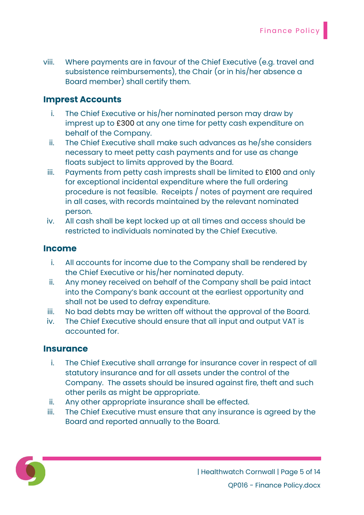viii. Where payments are in favour of the Chief Executive (e.g. travel and subsistence reimbursements), the Chair (or in his/her absence a Board member) shall certify them.

## Imprest Accounts

- i. The Chief Executive or his/her nominated person may draw by imprest up to £300 at any one time for petty cash expenditure on behalf of the Company.
- ii. The Chief Executive shall make such advances as he/she considers necessary to meet petty cash payments and for use as change floats subject to limits approved by the Board.
- iii. Payments from petty cash imprests shall be limited to £100 and only for exceptional incidental expenditure where the full ordering procedure is not feasible. Receipts / notes of payment are required in all cases, with records maintained by the relevant nominated person.
- iv. All cash shall be kept locked up at all times and access should be restricted to individuals nominated by the Chief Executive.

## Income

- i. All accounts for income due to the Company shall be rendered by the Chief Executive or his/her nominated deputy.
- ii. Any money received on behalf of the Company shall be paid intact into the Company's bank account at the earliest opportunity and shall not be used to defray expenditure.
- iii. No bad debts may be written off without the approval of the Board.
- iv. The Chief Executive should ensure that all input and output VAT is accounted for.

## **Insurance**

- i. The Chief Executive shall arrange for insurance cover in respect of all statutory insurance and for all assets under the control of the Company. The assets should be insured against fire, theft and such other perils as might be appropriate.
- ii. Any other appropriate insurance shall be effected.
- iii. The Chief Executive must ensure that any insurance is agreed by the Board and reported annually to the Board.

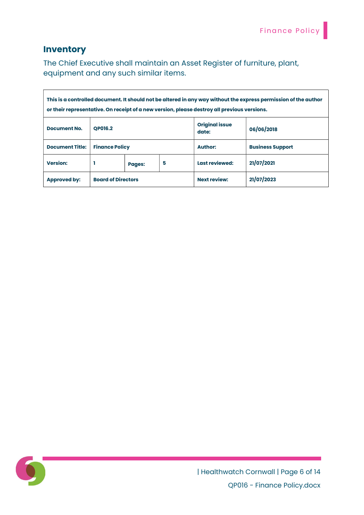## **Inventory**

The Chief Executive shall maintain an Asset Register of furniture, plant, equipment and any such similar items.

| This is a controlled document. It should not be altered in any way without the express permission of the author<br>or their representative. On receipt of a new version, please destroy all previous versions. |                       |        |                                |                         |            |
|----------------------------------------------------------------------------------------------------------------------------------------------------------------------------------------------------------------|-----------------------|--------|--------------------------------|-------------------------|------------|
| <b>Document No.</b>                                                                                                                                                                                            | <b>OP016.2</b>        |        | <b>Original issue</b><br>date: | 06/06/2018              |            |
| <b>Document Title:</b>                                                                                                                                                                                         | <b>Finance Policy</b> |        | <b>Author:</b>                 | <b>Business Support</b> |            |
| <b>Version:</b>                                                                                                                                                                                                |                       | Pages: | 5                              | Last reviewed:          | 21/07/2021 |
| <b>Board of Directors</b><br><b>Approved by:</b>                                                                                                                                                               |                       |        | <b>Next review:</b>            | 21/07/2023              |            |

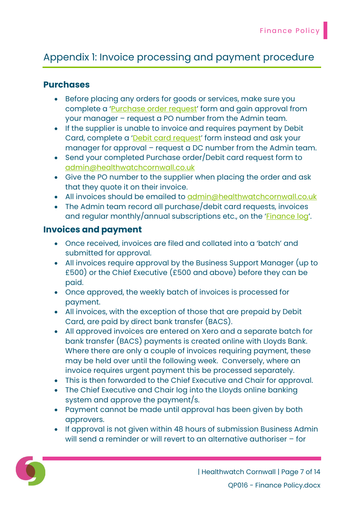# Appendix 1: Invoice processing and payment procedure

## Purchases

- Before placing any orders for goods or services, make sure you complete a 'Purchase order request' form and gain approval from your manager – request a PO number from the Admin team.
- If the supplier is unable to invoice and requires payment by Debit Card, complete a 'Debit card request' form instead and ask your manager for approval – request a DC number from the Admin team.
- Send your completed Purchase order/Debit card request form to admin@healthwatchcornwall.co.uk
- Give the PO number to the supplier when placing the order and ask that they quote it on their invoice.
- All invoices should be emailed to admin@healthwatchcornwall.co.uk
- The Admin team record all purchase/debit card requests, invoices and regular monthly/annual subscriptions etc., on the 'Finance log'.

## Invoices and payment

- Once received, invoices are filed and collated into a 'batch' and submitted for approval.
- All invoices require approval by the Business Support Manager (up to £500) or the Chief Executive (£500 and above) before they can be paid.
- Once approved, the weekly batch of invoices is processed for payment.
- All invoices, with the exception of those that are prepaid by Debit Card, are paid by direct bank transfer (BACS).
- All approved invoices are entered on Xero and a separate batch for bank transfer (BACS) payments is created online with Lloyds Bank. Where there are only a couple of invoices requiring payment, these may be held over until the following week. Conversely, where an invoice requires urgent payment this be processed separately.
- This is then forwarded to the Chief Executive and Chair for approval.
- The Chief Executive and Chair log into the Lloyds online banking system and approve the payment/s.
- Payment cannot be made until approval has been given by both approvers.
- If approval is not given within 48 hours of submission Business Admin will send a reminder or will revert to an alternative authoriser – for

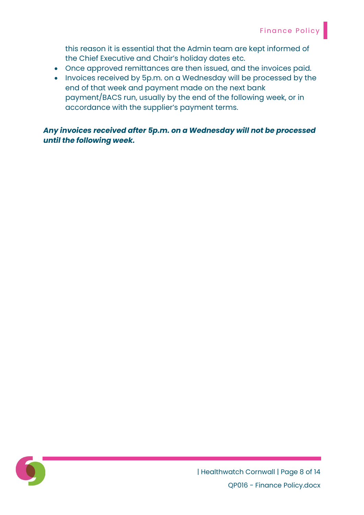this reason it is essential that the Admin team are kept informed of the Chief Executive and Chair's holiday dates etc.

- Once approved remittances are then issued, and the invoices paid.
- Invoices received by 5p.m. on a Wednesday will be processed by the end of that week and payment made on the next bank payment/BACS run, usually by the end of the following week, or in accordance with the supplier's payment terms.

Any invoices received after 5p.m. on a Wednesday will not be processed until the following week.

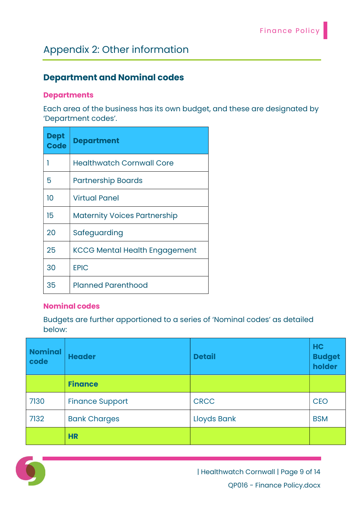# Appendix 2: Other information

# Department and Nominal codes

#### **Departments**

Each area of the business has its own budget, and these are designated by 'Department codes'.

| <b>Dept</b><br><b>Code</b> | <b>Department</b>                    |
|----------------------------|--------------------------------------|
|                            | <b>Healthwatch Cornwall Core</b>     |
| 5                          | <b>Partnership Boards</b>            |
| 10                         | <b>Virtual Panel</b>                 |
| 15                         | <b>Maternity Voices Partnership</b>  |
| 20                         | Safeguarding                         |
| 25                         | <b>KCCG Mental Health Engagement</b> |
| 30                         | <b>EPIC</b>                          |
| 35                         | <b>Planned Parenthood</b>            |

#### Nominal codes

Budgets are further apportioned to a series of 'Nominal codes' as detailed below:

| <b>Nominal</b><br>code | <b>Header</b>          | <b>Detail</b>      | <b>HC</b><br><b>Budget</b><br>holder |
|------------------------|------------------------|--------------------|--------------------------------------|
|                        | <b>Finance</b>         |                    |                                      |
| 7130                   | <b>Finance Support</b> | <b>CRCC</b>        | <b>CEO</b>                           |
| 7132                   | <b>Bank Charges</b>    | <b>Lloyds Bank</b> | <b>BSM</b>                           |
|                        | <b>HR</b>              |                    |                                      |



| Healthwatch Cornwall | Page 9 of 14 QP016 - Finance Policy.docx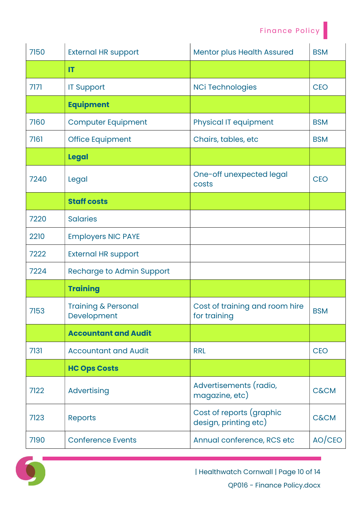| 7150 | <b>External HR support</b>                    | <b>Mentor plus Health Assured</b>                 | <b>BSM</b>      |
|------|-----------------------------------------------|---------------------------------------------------|-----------------|
|      | IT                                            |                                                   |                 |
| 7171 | <b>IT Support</b>                             | <b>NCi Technologies</b>                           | <b>CEO</b>      |
|      | <b>Equipment</b>                              |                                                   |                 |
| 7160 | <b>Computer Equipment</b>                     | <b>Physical IT equipment</b>                      | <b>BSM</b>      |
| 7161 | <b>Office Equipment</b>                       | Chairs, tables, etc                               | <b>BSM</b>      |
|      | <b>Legal</b>                                  |                                                   |                 |
| 7240 | Legal                                         | One-off unexpected legal<br>costs                 | <b>CEO</b>      |
|      | <b>Staff costs</b>                            |                                                   |                 |
| 7220 | <b>Salaries</b>                               |                                                   |                 |
| 2210 | <b>Employers NIC PAYE</b>                     |                                                   |                 |
| 7222 | <b>External HR support</b>                    |                                                   |                 |
| 7224 | <b>Recharge to Admin Support</b>              |                                                   |                 |
|      | <b>Training</b>                               |                                                   |                 |
| 7153 | <b>Training &amp; Personal</b><br>Development | Cost of training and room hire<br>for training    | <b>BSM</b>      |
|      | <b>Accountant and Audit</b>                   |                                                   |                 |
| 7131 | <b>Accountant and Audit</b>                   | <b>RRL</b>                                        | <b>CEO</b>      |
|      | <b>HC Ops Costs</b>                           |                                                   |                 |
| 7122 | <b>Advertising</b>                            | Advertisements (radio,<br>magazine, etc)          | <b>C&amp;CM</b> |
| 7123 | <b>Reports</b>                                | Cost of reports (graphic<br>design, printing etc) | <b>C&amp;CM</b> |
| 7190 | <b>Conference Events</b>                      | Annual conference, RCS etc                        | AO/CEO          |

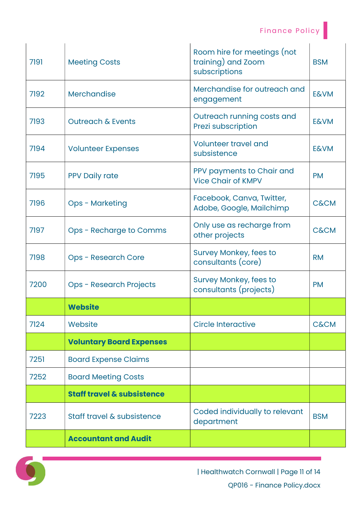| 7191 | <b>Meeting Costs</b>                  | Room hire for meetings (not<br>training) and Zoom<br>subscriptions | <b>BSM</b>      |
|------|---------------------------------------|--------------------------------------------------------------------|-----------------|
| 7192 | Merchandise                           | Merchandise for outreach and<br>engagement                         | <b>E&amp;VM</b> |
| 7193 | <b>Outreach &amp; Events</b>          | Outreach running costs and<br>Prezi subscription                   | <b>E&amp;VM</b> |
| 7194 | <b>Volunteer Expenses</b>             | <b>Volunteer travel and</b><br>subsistence                         | <b>E&amp;VM</b> |
| 7195 | <b>PPV Daily rate</b>                 | PPV payments to Chair and<br><b>Vice Chair of KMPV</b>             | <b>PM</b>       |
| 7196 | <b>Ops - Marketing</b>                | Facebook, Canva, Twitter,<br>Adobe, Google, Mailchimp              | <b>C&amp;CM</b> |
| 7197 | Ops - Recharge to Comms               | Only use as recharge from<br>other projects                        | <b>C&amp;CM</b> |
| 7198 | <b>Ops - Research Core</b>            | <b>Survey Monkey, fees to</b><br>consultants (core)                | <b>RM</b>       |
| 7200 | <b>Ops - Research Projects</b>        | <b>Survey Monkey, fees to</b><br>consultants (projects)            | <b>PM</b>       |
|      | <b>Website</b>                        |                                                                    |                 |
| 7124 | Website                               | <b>Circle Interactive</b>                                          | <b>C&amp;CM</b> |
|      | <b>Voluntary Board Expenses</b>       |                                                                    |                 |
| 7251 | <b>Board Expense Claims</b>           |                                                                    |                 |
| 7252 | <b>Board Meeting Costs</b>            |                                                                    |                 |
|      | <b>Staff travel &amp; subsistence</b> |                                                                    |                 |
| 7223 | Staff travel & subsistence            | Coded individually to relevant<br>department                       | <b>BSM</b>      |
|      | <b>Accountant and Audit</b>           |                                                                    |                 |

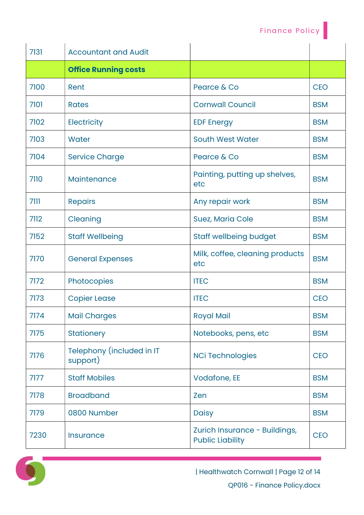| 7131 | <b>Accountant and Audit</b>           |                                                          |            |
|------|---------------------------------------|----------------------------------------------------------|------------|
|      | <b>Office Running costs</b>           |                                                          |            |
| 7100 | Rent                                  | Pearce & Co                                              | <b>CEO</b> |
| 7101 | <b>Rates</b>                          | <b>Cornwall Council</b>                                  | <b>BSM</b> |
| 7102 | <b>Electricity</b>                    | <b>EDF Energy</b>                                        | <b>BSM</b> |
| 7103 | <b>Water</b>                          | <b>South West Water</b>                                  | <b>BSM</b> |
| 7104 | <b>Service Charge</b>                 | Pearce & Co                                              | <b>BSM</b> |
| 7110 | Maintenance                           | Painting, putting up shelves,<br>etc                     | <b>BSM</b> |
| 7111 | <b>Repairs</b>                        | Any repair work                                          | <b>BSM</b> |
| 7112 | Cleaning                              | <b>Suez, Maria Cole</b>                                  | <b>BSM</b> |
| 7152 | <b>Staff Wellbeing</b>                | <b>Staff wellbeing budget</b>                            | <b>BSM</b> |
| 7170 | <b>General Expenses</b>               | Milk, coffee, cleaning products<br>etc                   | <b>BSM</b> |
| 7172 | Photocopies                           | <b>ITEC</b>                                              | <b>BSM</b> |
| 7173 | <b>Copier Lease</b>                   | <b>ITEC</b>                                              | <b>CEO</b> |
| 7174 | <b>Mail Charges</b>                   | <b>Royal Mail</b>                                        | <b>BSM</b> |
| 7175 | <b>Stationery</b>                     | Notebooks, pens, etc                                     | <b>BSM</b> |
| 7176 | Telephony (included in IT<br>support) | <b>NCi Technologies</b>                                  | <b>CEO</b> |
| 7177 | <b>Staff Mobiles</b>                  | <b>Vodafone, EE</b>                                      | <b>BSM</b> |
| 7178 | <b>Broadband</b>                      | Zen                                                      | <b>BSM</b> |
| 7179 | 0800 Number                           | <b>Daisy</b>                                             | <b>BSM</b> |
| 7230 | <b>Insurance</b>                      | Zurich Insurance - Buildings,<br><b>Public Liability</b> | <b>CEO</b> |



| Healthwatch Cornwall | Page 12 of 14 QP016 - Finance Policy.docx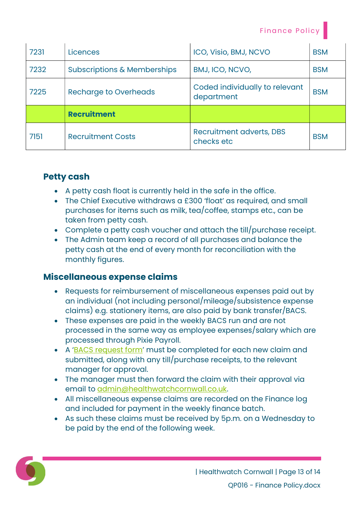| 7231 | Licences                               | ICO, Visio, BMJ, NCVO                        | <b>BSM</b> |
|------|----------------------------------------|----------------------------------------------|------------|
| 7232 | <b>Subscriptions &amp; Memberships</b> | BMJ, ICO, NCVO,                              | <b>BSM</b> |
| 7225 | <b>Recharge to Overheads</b>           | Coded individually to relevant<br>department | <b>BSM</b> |
|      | <b>Recruitment</b>                     |                                              |            |
| 7151 | <b>Recruitment Costs</b>               | Recruitment adverts, DBS<br>checks etc       | <b>BSM</b> |

# Petty cash

- A petty cash float is currently held in the safe in the office.
- The Chief Executive withdraws a £300 'float' as required, and small purchases for items such as milk, tea/coffee, stamps etc., can be taken from petty cash.
- Complete a petty cash voucher and attach the till/purchase receipt.
- The Admin team keep a record of all purchases and balance the petty cash at the end of every month for reconciliation with the monthly figures.

## Miscellaneous expense claims

- Requests for reimbursement of miscellaneous expenses paid out by an individual (not including personal/mileage/subsistence expense claims) e.g. stationery items, are also paid by bank transfer/BACS.
- These expenses are paid in the weekly BACS run and are not processed in the same way as employee expenses/salary which are processed through Pixie Payroll.
- A 'BACS request form' must be completed for each new claim and submitted, along with any till/purchase receipts, to the relevant manager for approval.
- The manager must then forward the claim with their approval via email to admin@healthwatchcornwall.co.uk.
- All miscellaneous expense claims are recorded on the Finance log and included for payment in the weekly finance batch.
- As such these claims must be received by 5p.m. on a Wednesday to be paid by the end of the following week.